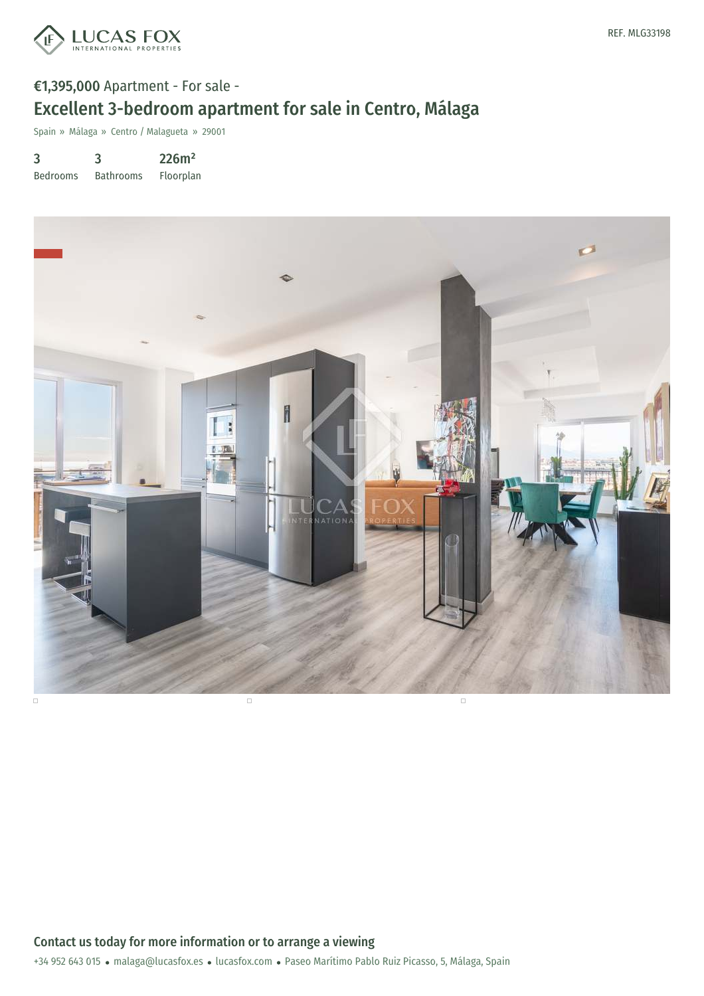

# €1,395,000 Apartment - For sale - Excellent 3-bedroom apartment for sale in Centro, Málaga

Spain » Málaga » Centro / Malagueta » 29001

3 Bedrooms 3 Bathrooms 226m² Floorplan

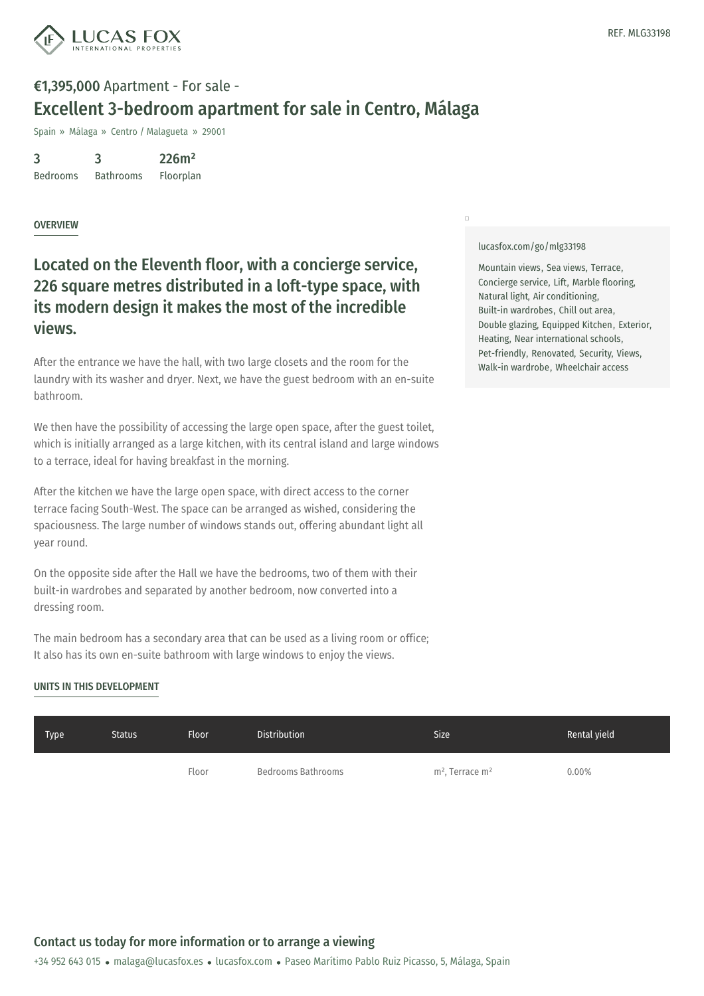

## €1,395,000 Apartment - For sale - Excellent 3-bedroom apartment for sale in Centro, Málaga

Spain » Málaga » Centro / Malagueta » 29001

3 Bedrooms 3 Bathrooms 226m² Floorplan

### **OVERVIEW**

### Located on the Eleventh floor, with a concierge service, 226 square metres distributed in a loft-type space, with its modern design it makes the most of the incredible views.

After the entrance we have the hall, with two large closets and the room for the laundry with its washer and dryer. Next, we have the guest bedroom with an en-suite bathroom.

We then have the possibility of accessing the large open space, after the guest toilet, which is initially arranged as a large kitchen, with its central island and large windows to a terrace, ideal for having breakfast in the morning.

After the kitchen we have the large open space, with direct access to the corner terrace facing South-West. The space can be arranged as wished, considering the spaciousness. The large number of windows stands out, offering abundant light all year round.

On the opposite side after the Hall we have the bedrooms, two of them with their built-in wardrobes and separated by another bedroom, now converted into a dressing room.

The main bedroom has a secondary area that can be used as a living room or office; It also has its own en-suite bathroom with large windows to enjoy the views.

### UNITS IN THIS DEVELOPMENT

#### [lucasfox.com/go/mlg33198](https://www.lucasfox.com/go/mlg33198)

 $\Box$ 

Mountain views, Sea views, Terrace, Concierge service, Lift, Marble flooring, Natural light, Air conditioning, Built-in wardrobes, Chill out area, Double glazing, Equipped Kitchen, Exterior, Heating, Near international schools, Pet-friendly, Renovated, Security, Views, Walk-in wardrobe, Wheelchair access

| Type | <b>Status</b> | <b>Floor</b> | <b>Distribution</b> | Size                | Rental yield |
|------|---------------|--------------|---------------------|---------------------|--------------|
|      |               | Floor        | Bedrooms Bathrooms  | $m2$ , Terrace $m2$ | 0.00%        |